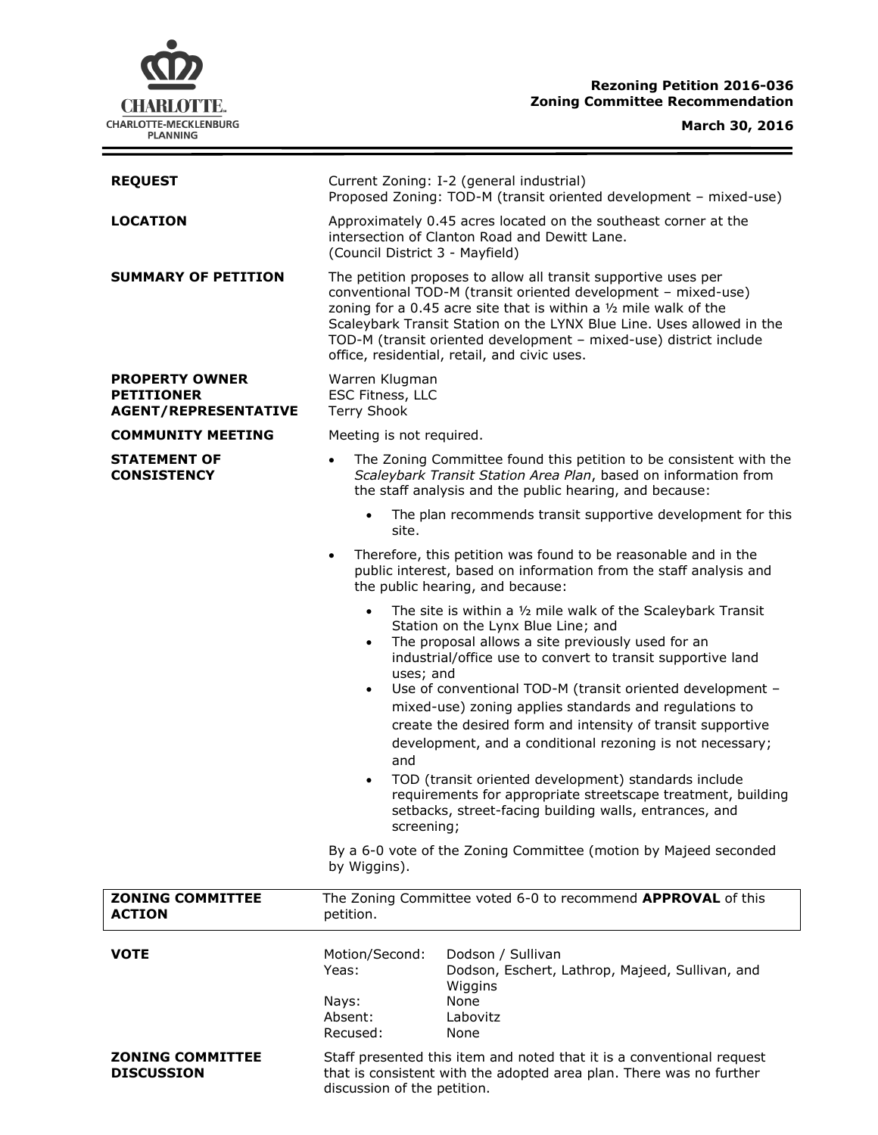# **CHARLOTTE.** CHARLOTTE-MECKLENBURG<br>PLANNING

# **Rezoning Petition 2016-036 Zoning Committee Recommendation**

# **March 30, 2016**

 $=$ 

| <b>REQUEST</b>                                                            | Current Zoning: I-2 (general industrial)<br>Proposed Zoning: TOD-M (transit oriented development - mixed-use)                                                                                                                                                                                                                                                                                                                                                                                                                                                                                                                                                                                                                                     |
|---------------------------------------------------------------------------|---------------------------------------------------------------------------------------------------------------------------------------------------------------------------------------------------------------------------------------------------------------------------------------------------------------------------------------------------------------------------------------------------------------------------------------------------------------------------------------------------------------------------------------------------------------------------------------------------------------------------------------------------------------------------------------------------------------------------------------------------|
| <b>LOCATION</b>                                                           | Approximately 0.45 acres located on the southeast corner at the<br>intersection of Clanton Road and Dewitt Lane.<br>(Council District 3 - Mayfield)                                                                                                                                                                                                                                                                                                                                                                                                                                                                                                                                                                                               |
| <b>SUMMARY OF PETITION</b>                                                | The petition proposes to allow all transit supportive uses per<br>conventional TOD-M (transit oriented development - mixed-use)<br>zoning for a 0.45 acre site that is within a $1/2$ mile walk of the<br>Scaleybark Transit Station on the LYNX Blue Line. Uses allowed in the<br>TOD-M (transit oriented development - mixed-use) district include<br>office, residential, retail, and civic uses.                                                                                                                                                                                                                                                                                                                                              |
| <b>PROPERTY OWNER</b><br><b>PETITIONER</b><br><b>AGENT/REPRESENTATIVE</b> | Warren Klugman<br>ESC Fitness, LLC<br><b>Terry Shook</b>                                                                                                                                                                                                                                                                                                                                                                                                                                                                                                                                                                                                                                                                                          |
| <b>COMMUNITY MEETING</b>                                                  | Meeting is not required.                                                                                                                                                                                                                                                                                                                                                                                                                                                                                                                                                                                                                                                                                                                          |
| <b>STATEMENT OF</b><br><b>CONSISTENCY</b>                                 | The Zoning Committee found this petition to be consistent with the<br>$\bullet$<br>Scaleybark Transit Station Area Plan, based on information from<br>the staff analysis and the public hearing, and because:                                                                                                                                                                                                                                                                                                                                                                                                                                                                                                                                     |
|                                                                           | The plan recommends transit supportive development for this<br>$\bullet$<br>site.                                                                                                                                                                                                                                                                                                                                                                                                                                                                                                                                                                                                                                                                 |
|                                                                           | Therefore, this petition was found to be reasonable and in the<br>$\bullet$<br>public interest, based on information from the staff analysis and<br>the public hearing, and because:                                                                                                                                                                                                                                                                                                                                                                                                                                                                                                                                                              |
|                                                                           | The site is within a 1/2 mile walk of the Scaleybark Transit<br>$\bullet$<br>Station on the Lynx Blue Line; and<br>The proposal allows a site previously used for an<br>$\bullet$<br>industrial/office use to convert to transit supportive land<br>uses; and<br>Use of conventional TOD-M (transit oriented development -<br>$\bullet$<br>mixed-use) zoning applies standards and regulations to<br>create the desired form and intensity of transit supportive<br>development, and a conditional rezoning is not necessary;<br>and<br>TOD (transit oriented development) standards include<br>$\bullet$<br>requirements for appropriate streetscape treatment, building<br>setbacks, street-facing building walls, entrances, and<br>screening; |
|                                                                           | By a 6-0 vote of the Zoning Committee (motion by Majeed seconded<br>by Wiggins).                                                                                                                                                                                                                                                                                                                                                                                                                                                                                                                                                                                                                                                                  |
| <b>ZONING COMMITTEE</b><br><b>ACTION</b>                                  | The Zoning Committee voted 6-0 to recommend APPROVAL of this<br>petition.                                                                                                                                                                                                                                                                                                                                                                                                                                                                                                                                                                                                                                                                         |
| <b>VOTE</b>                                                               | Motion/Second:<br>Dodson / Sullivan<br>Yeas:<br>Dodson, Eschert, Lathrop, Majeed, Sullivan, and<br>Wiggins<br>None<br>Nays:<br>Absent:<br>Labovitz<br>Recused:<br>None                                                                                                                                                                                                                                                                                                                                                                                                                                                                                                                                                                            |
| <b>ZONING COMMITTEE</b><br><b>DISCUSSION</b>                              | Staff presented this item and noted that it is a conventional request<br>that is consistent with the adopted area plan. There was no further<br>discussion of the petition.                                                                                                                                                                                                                                                                                                                                                                                                                                                                                                                                                                       |